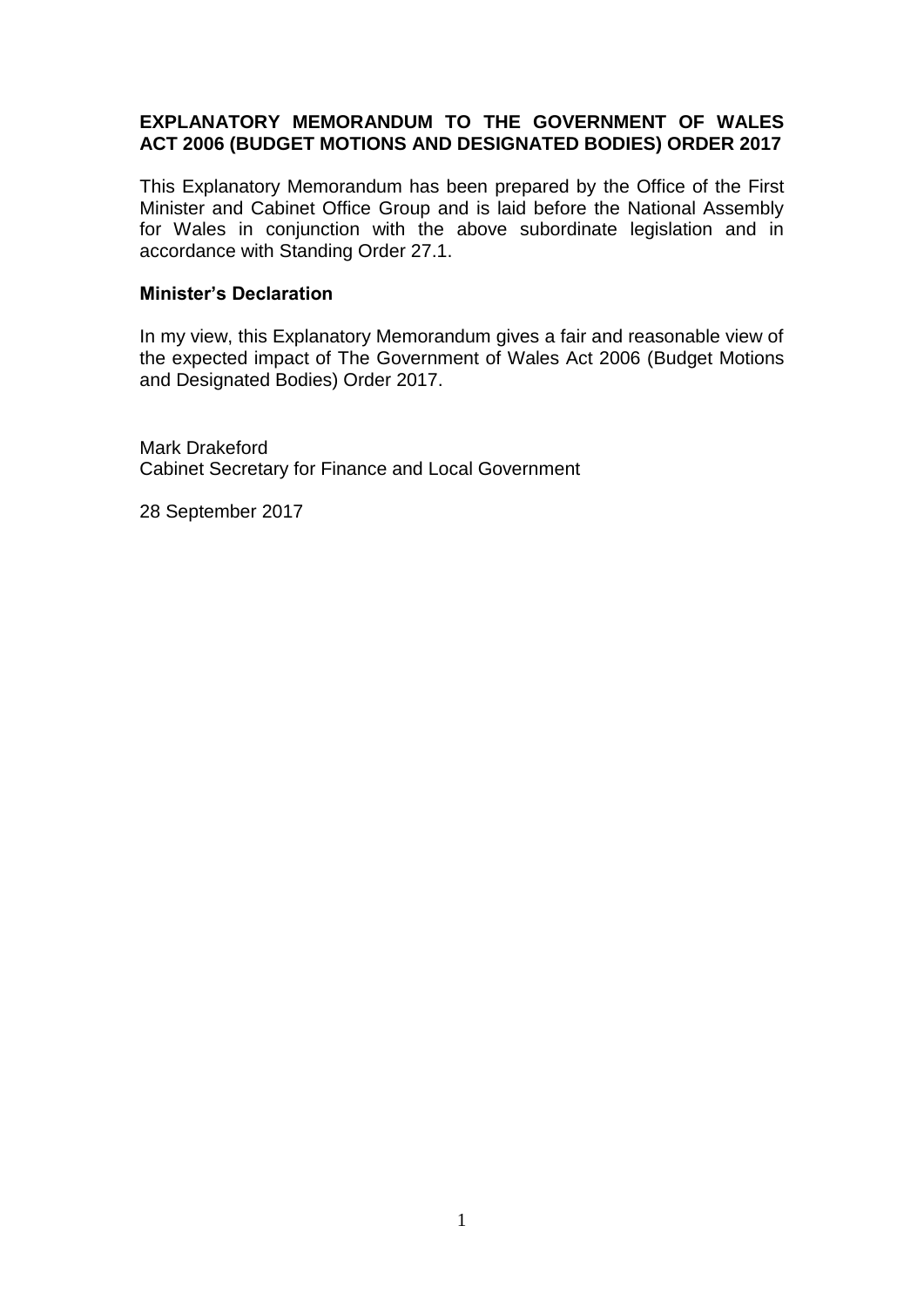### **EXPLANATORY MEMORANDUM TO THE GOVERNMENT OF WALES ACT 2006 (BUDGET MOTIONS AND DESIGNATED BODIES) ORDER 2017**

This Explanatory Memorandum has been prepared by the Office of the First Minister and Cabinet Office Group and is laid before the National Assembly for Wales in conjunction with the above subordinate legislation and in accordance with Standing Order 27.1.

#### **Minister's Declaration**

In my view, this Explanatory Memorandum gives a fair and reasonable view of the expected impact of The Government of Wales Act 2006 (Budget Motions and Designated Bodies) Order 2017.

Mark Drakeford Cabinet Secretary for Finance and Local Government

28 September 2017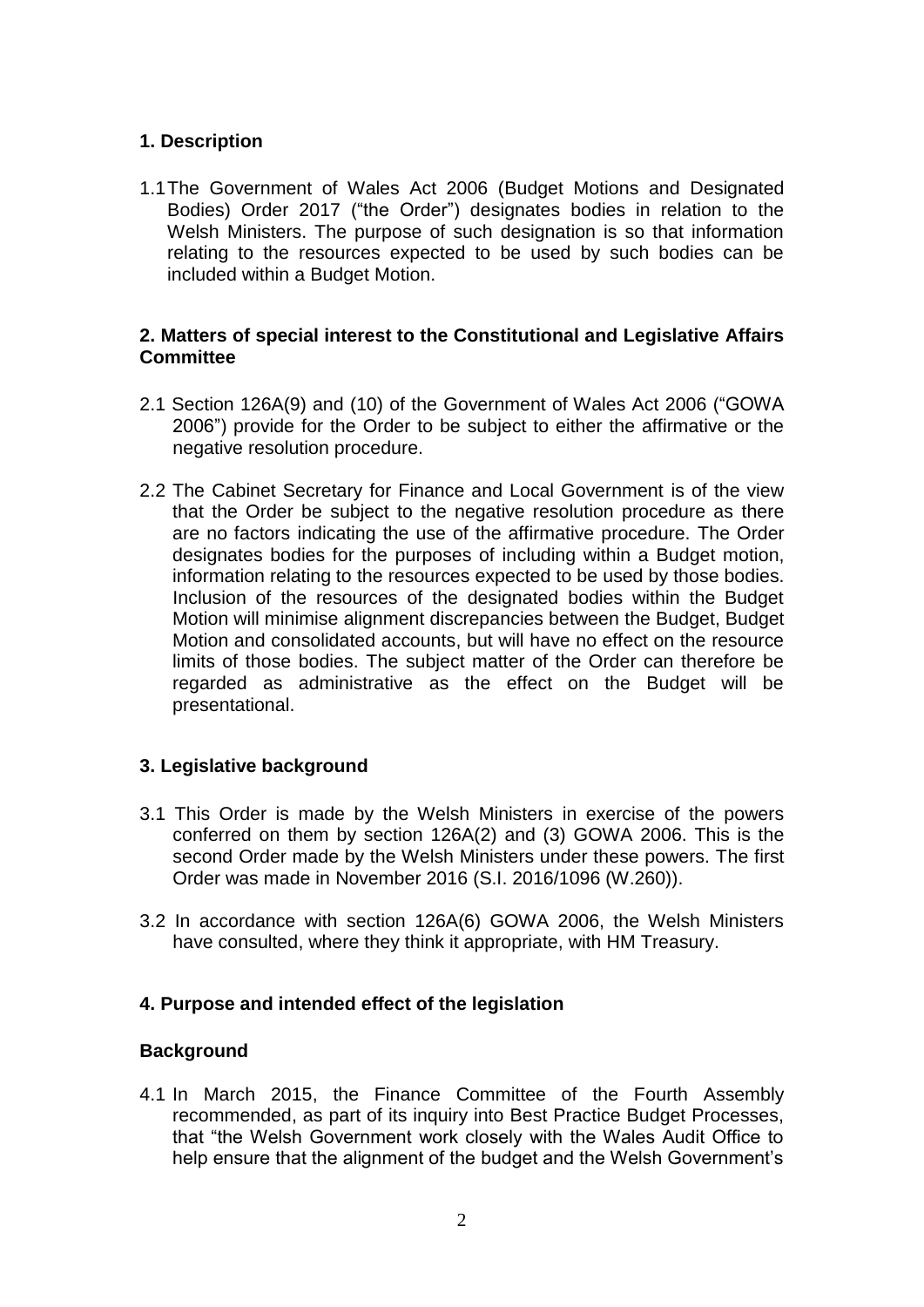### **1. Description**

1.1The Government of Wales Act 2006 (Budget Motions and Designated Bodies) Order 2017 ("the Order") designates bodies in relation to the Welsh Ministers. The purpose of such designation is so that information relating to the resources expected to be used by such bodies can be included within a Budget Motion.

#### **2. Matters of special interest to the Constitutional and Legislative Affairs Committee**

- 2.1 Section 126A(9) and (10) of the Government of Wales Act 2006 ("GOWA 2006") provide for the Order to be subject to either the affirmative or the negative resolution procedure.
- 2.2 The Cabinet Secretary for Finance and Local Government is of the view that the Order be subject to the negative resolution procedure as there are no factors indicating the use of the affirmative procedure. The Order designates bodies for the purposes of including within a Budget motion, information relating to the resources expected to be used by those bodies. Inclusion of the resources of the designated bodies within the Budget Motion will minimise alignment discrepancies between the Budget, Budget Motion and consolidated accounts, but will have no effect on the resource limits of those bodies. The subject matter of the Order can therefore be regarded as administrative as the effect on the Budget will be presentational.

### **3. Legislative background**

- 3.1 This Order is made by the Welsh Ministers in exercise of the powers conferred on them by section 126A(2) and (3) GOWA 2006. This is the second Order made by the Welsh Ministers under these powers. The first Order was made in November 2016 (S.I. 2016/1096 (W.260)).
- 3.2 In accordance with section 126A(6) GOWA 2006, the Welsh Ministers have consulted, where they think it appropriate, with HM Treasury.

# **4. Purpose and intended effect of the legislation**

### **Background**

4.1 In March 2015, the Finance Committee of the Fourth Assembly recommended, as part of its inquiry into Best Practice Budget Processes, that "the Welsh Government work closely with the Wales Audit Office to help ensure that the alignment of the budget and the Welsh Government's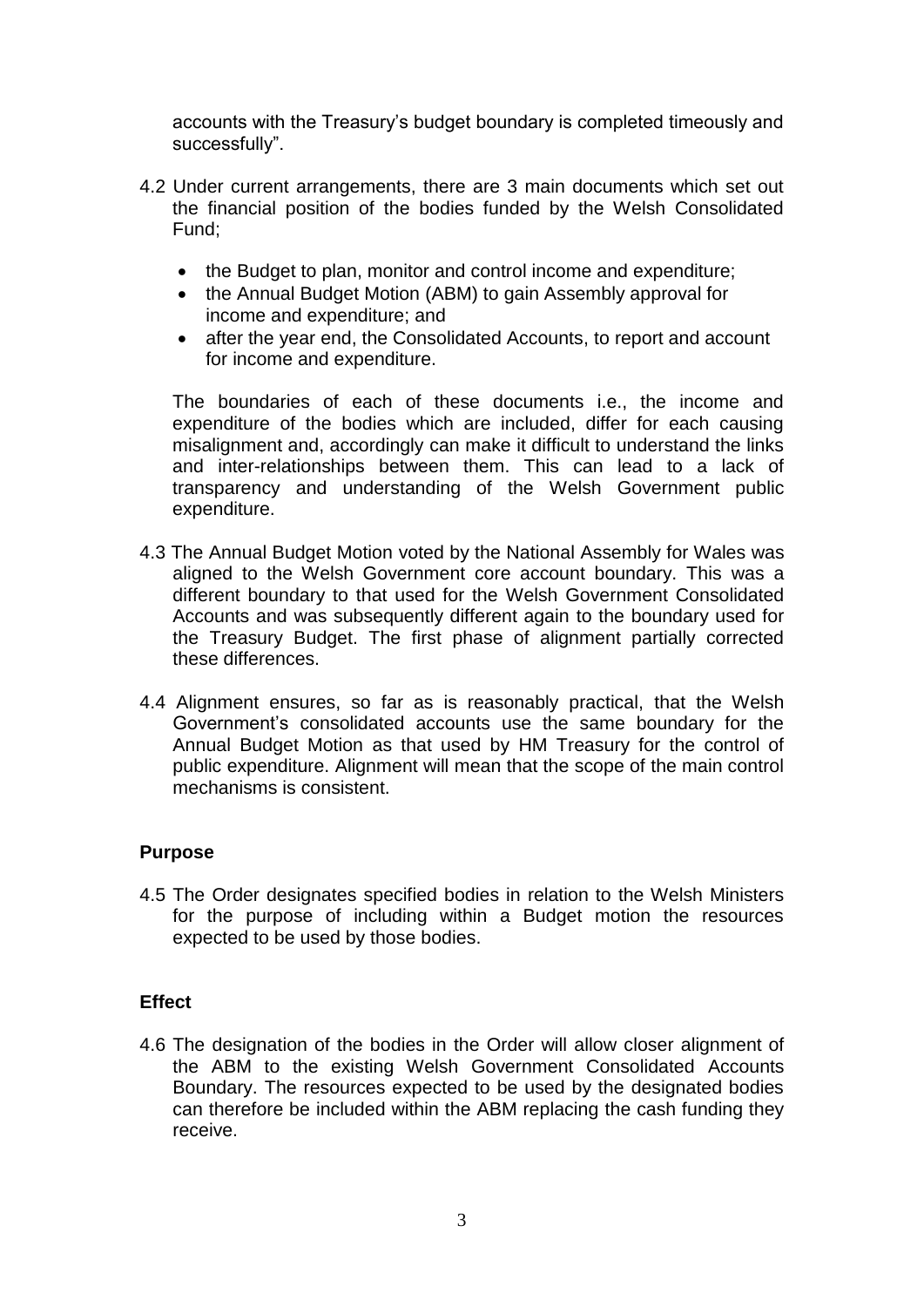accounts with the Treasury's budget boundary is completed timeously and successfully".

- 4.2 Under current arrangements, there are 3 main documents which set out the financial position of the bodies funded by the Welsh Consolidated Fund;
	- the Budget to plan, monitor and control income and expenditure;
	- the Annual Budget Motion (ABM) to gain Assembly approval for income and expenditure; and
	- after the year end, the Consolidated Accounts, to report and account for income and expenditure.

The boundaries of each of these documents i.e., the income and expenditure of the bodies which are included, differ for each causing misalignment and, accordingly can make it difficult to understand the links and inter-relationships between them. This can lead to a lack of transparency and understanding of the Welsh Government public expenditure.

- 4.3 The Annual Budget Motion voted by the National Assembly for Wales was aligned to the Welsh Government core account boundary. This was a different boundary to that used for the Welsh Government Consolidated Accounts and was subsequently different again to the boundary used for the Treasury Budget. The first phase of alignment partially corrected these differences.
- 4.4 Alignment ensures, so far as is reasonably practical, that the Welsh Government's consolidated accounts use the same boundary for the Annual Budget Motion as that used by HM Treasury for the control of public expenditure. Alignment will mean that the scope of the main control mechanisms is consistent.

### **Purpose**

4.5 The Order designates specified bodies in relation to the Welsh Ministers for the purpose of including within a Budget motion the resources expected to be used by those bodies.

# **Effect**

4.6 The designation of the bodies in the Order will allow closer alignment of the ABM to the existing Welsh Government Consolidated Accounts Boundary. The resources expected to be used by the designated bodies can therefore be included within the ABM replacing the cash funding they receive.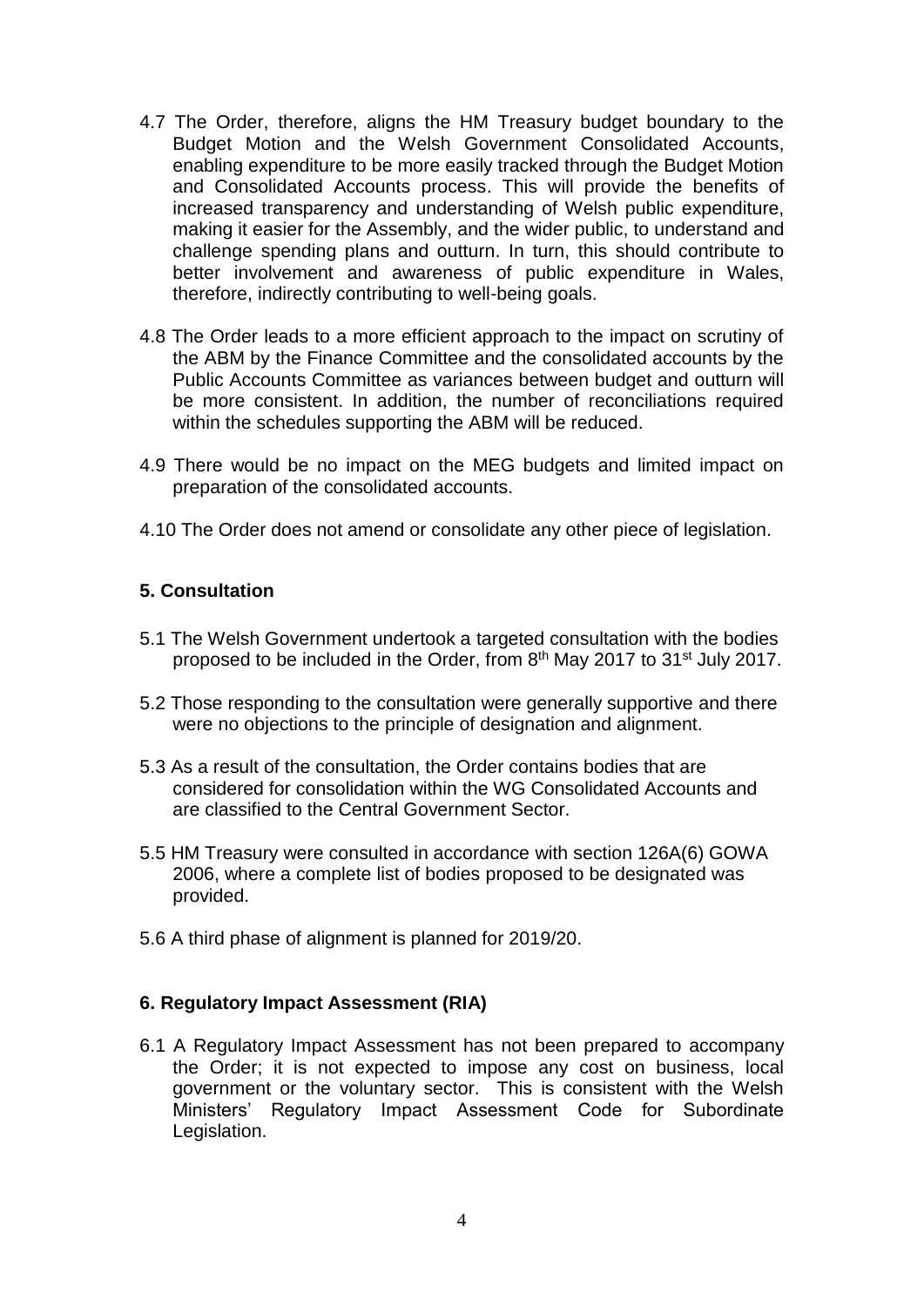- 4.7 The Order, therefore, aligns the HM Treasury budget boundary to the Budget Motion and the Welsh Government Consolidated Accounts, enabling expenditure to be more easily tracked through the Budget Motion and Consolidated Accounts process. This will provide the benefits of increased transparency and understanding of Welsh public expenditure, making it easier for the Assembly, and the wider public, to understand and challenge spending plans and outturn. In turn, this should contribute to better involvement and awareness of public expenditure in Wales, therefore, indirectly contributing to well-being goals.
- 4.8 The Order leads to a more efficient approach to the impact on scrutiny of the ABM by the Finance Committee and the consolidated accounts by the Public Accounts Committee as variances between budget and outturn will be more consistent. In addition, the number of reconciliations required within the schedules supporting the ABM will be reduced.
- 4.9 There would be no impact on the MEG budgets and limited impact on preparation of the consolidated accounts.
- 4.10 The Order does not amend or consolidate any other piece of legislation.

### **5. Consultation**

- 5.1 The Welsh Government undertook a targeted consultation with the bodies proposed to be included in the Order, from 8<sup>th</sup> May 2017 to 31<sup>st</sup> July 2017.
- 5.2 Those responding to the consultation were generally supportive and there were no objections to the principle of designation and alignment.
- 5.3 As a result of the consultation, the Order contains bodies that are considered for consolidation within the WG Consolidated Accounts and are classified to the Central Government Sector.
- 5.5 HM Treasury were consulted in accordance with section 126A(6) GOWA 2006, where a complete list of bodies proposed to be designated was provided.
- 5.6 A third phase of alignment is planned for 2019/20.

### **6. Regulatory Impact Assessment (RIA)**

6.1 A Regulatory Impact Assessment has not been prepared to accompany the Order; it is not expected to impose any cost on business, local government or the voluntary sector. This is consistent with the Welsh Ministers' Regulatory Impact Assessment Code for Subordinate Legislation.